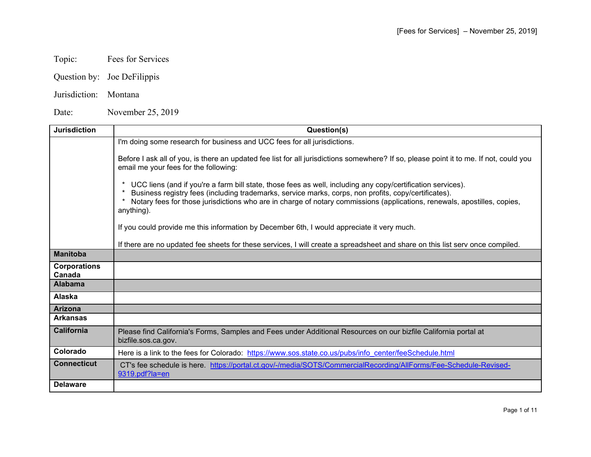## Topic: Fees for Services

- Question by: Joe DeFilippis
- Jurisdiction: Montana

Date: November 25, 2019

| <b>Jurisdiction</b>           | Question(s)                                                                                                                                                                                                                                                                                                                                                   |
|-------------------------------|---------------------------------------------------------------------------------------------------------------------------------------------------------------------------------------------------------------------------------------------------------------------------------------------------------------------------------------------------------------|
|                               | I'm doing some research for business and UCC fees for all jurisdictions.                                                                                                                                                                                                                                                                                      |
|                               | Before I ask all of you, is there an updated fee list for all jurisdictions somewhere? If so, please point it to me. If not, could you<br>email me your fees for the following:                                                                                                                                                                               |
|                               | UCC liens (and if you're a farm bill state, those fees as well, including any copy/certification services).<br>Business registry fees (including trademarks, service marks, corps, non profits, copy/certificates).<br>Notary fees for those jurisdictions who are in charge of notary commissions (applications, renewals, apostilles, copies,<br>anything). |
|                               | If you could provide me this information by December 6th, I would appreciate it very much.                                                                                                                                                                                                                                                                    |
|                               | If there are no updated fee sheets for these services, I will create a spreadsheet and share on this list serv once compiled.                                                                                                                                                                                                                                 |
| <b>Manitoba</b>               |                                                                                                                                                                                                                                                                                                                                                               |
| <b>Corporations</b><br>Canada |                                                                                                                                                                                                                                                                                                                                                               |
| <b>Alabama</b>                |                                                                                                                                                                                                                                                                                                                                                               |
| <b>Alaska</b>                 |                                                                                                                                                                                                                                                                                                                                                               |
| <b>Arizona</b>                |                                                                                                                                                                                                                                                                                                                                                               |
| <b>Arkansas</b>               |                                                                                                                                                                                                                                                                                                                                                               |
| <b>California</b>             | Please find California's Forms, Samples and Fees under Additional Resources on our bizfile California portal at<br>bizfile.sos.ca.gov.                                                                                                                                                                                                                        |
| Colorado                      | Here is a link to the fees for Colorado: https://www.sos.state.co.us/pubs/info center/feeSchedule.html                                                                                                                                                                                                                                                        |
| <b>Connecticut</b>            | CT's fee schedule is here. https://portal.ct.gov/-/media/SOTS/CommercialRecording/AllForms/Fee-Schedule-Revised-<br>9319.pdf?la=en                                                                                                                                                                                                                            |
| <b>Delaware</b>               |                                                                                                                                                                                                                                                                                                                                                               |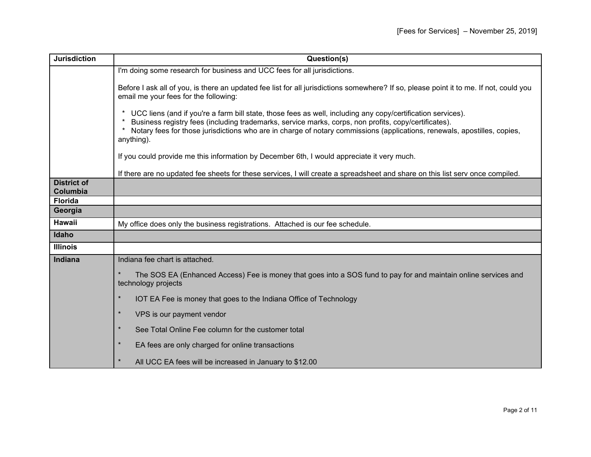| <b>Jurisdiction</b>            | Question(s)                                                                                                                                                                                                                                                                                                                                                   |
|--------------------------------|---------------------------------------------------------------------------------------------------------------------------------------------------------------------------------------------------------------------------------------------------------------------------------------------------------------------------------------------------------------|
|                                | I'm doing some research for business and UCC fees for all jurisdictions.                                                                                                                                                                                                                                                                                      |
|                                | Before I ask all of you, is there an updated fee list for all jurisdictions somewhere? If so, please point it to me. If not, could you<br>email me your fees for the following:                                                                                                                                                                               |
|                                | UCC liens (and if you're a farm bill state, those fees as well, including any copy/certification services).<br>Business registry fees (including trademarks, service marks, corps, non profits, copy/certificates).<br>Notary fees for those jurisdictions who are in charge of notary commissions (applications, renewals, apostilles, copies,<br>anything). |
|                                | If you could provide me this information by December 6th, I would appreciate it very much.                                                                                                                                                                                                                                                                    |
|                                | If there are no updated fee sheets for these services, I will create a spreadsheet and share on this list serv once compiled.                                                                                                                                                                                                                                 |
| <b>District of</b><br>Columbia |                                                                                                                                                                                                                                                                                                                                                               |
| <b>Florida</b>                 |                                                                                                                                                                                                                                                                                                                                                               |
| Georgia                        |                                                                                                                                                                                                                                                                                                                                                               |
| Hawaii                         | My office does only the business registrations. Attached is our fee schedule.                                                                                                                                                                                                                                                                                 |
| Idaho                          |                                                                                                                                                                                                                                                                                                                                                               |
| <b>Illinois</b>                |                                                                                                                                                                                                                                                                                                                                                               |
| <b>Indiana</b>                 | Indiana fee chart is attached.                                                                                                                                                                                                                                                                                                                                |
|                                | $\star$<br>The SOS EA (Enhanced Access) Fee is money that goes into a SOS fund to pay for and maintain online services and<br>technology projects                                                                                                                                                                                                             |
|                                | $\star$<br>IOT EA Fee is money that goes to the Indiana Office of Technology                                                                                                                                                                                                                                                                                  |
|                                | $\star$<br>VPS is our payment vendor                                                                                                                                                                                                                                                                                                                          |
|                                | $\star$<br>See Total Online Fee column for the customer total                                                                                                                                                                                                                                                                                                 |
|                                | $\star$<br>EA fees are only charged for online transactions                                                                                                                                                                                                                                                                                                   |
|                                | $\star$<br>All UCC EA fees will be increased in January to \$12.00                                                                                                                                                                                                                                                                                            |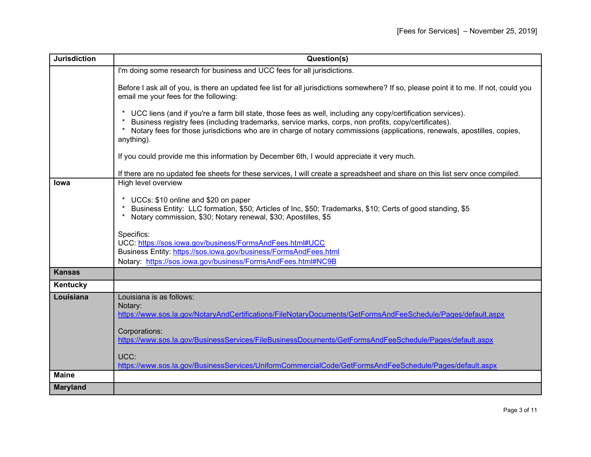| <b>Jurisdiction</b> | Question(s)                                                                                                                                                                                                                                                                                                                                                       |
|---------------------|-------------------------------------------------------------------------------------------------------------------------------------------------------------------------------------------------------------------------------------------------------------------------------------------------------------------------------------------------------------------|
|                     | I'm doing some research for business and UCC fees for all jurisdictions.                                                                                                                                                                                                                                                                                          |
|                     | Before I ask all of you, is there an updated fee list for all jurisdictions somewhere? If so, please point it to me. If not, could you<br>email me your fees for the following:                                                                                                                                                                                   |
|                     | UCC liens (and if you're a farm bill state, those fees as well, including any copy/certification services).<br>* Business registry fees (including trademarks, service marks, corps, non profits, copy/certificates).<br>* Notary fees for those jurisdictions who are in charge of notary commissions (applications, renewals, apostilles, copies,<br>anything). |
|                     | If you could provide me this information by December 6th, I would appreciate it very much.                                                                                                                                                                                                                                                                        |
|                     | If there are no updated fee sheets for these services, I will create a spreadsheet and share on this list serv once compiled.                                                                                                                                                                                                                                     |
| <b>lowa</b>         | High level overview                                                                                                                                                                                                                                                                                                                                               |
|                     | * UCCs: \$10 online and \$20 on paper<br>* Business Entity: LLC formation, \$50; Articles of Inc, \$50; Trademarks, \$10; Certs of good standing, \$5<br>* Notary commission, \$30; Notary renewal, \$30; Apostilles, \$5                                                                                                                                         |
|                     | Specifics:<br>UCC: https://sos.iowa.gov/business/FormsAndFees.html#UCC<br>Business Entity: https://sos.iowa.gov/business/FormsAndFees.html<br>Notary: https://sos.iowa.gov/business/FormsAndFees.html#NC9B                                                                                                                                                        |
| <b>Kansas</b>       |                                                                                                                                                                                                                                                                                                                                                                   |
| Kentucky            |                                                                                                                                                                                                                                                                                                                                                                   |
| Louisiana           | Louisiana is as follows:<br>Notary:<br>https://www.sos.la.gov/NotaryAndCertifications/FileNotaryDocuments/GetFormsAndFeeSchedule/Pages/default.aspx<br>Corporations:<br>https://www.sos.la.gov/BusinessServices/FileBusinessDocuments/GetFormsAndFeeSchedule/Pages/default.aspx<br>UCC:                                                                           |
| <b>Maine</b>        | https://www.sos.la.gov/BusinessServices/UniformCommercialCode/GetFormsAndFeeSchedule/Pages/default.aspx                                                                                                                                                                                                                                                           |
|                     |                                                                                                                                                                                                                                                                                                                                                                   |
| <b>Maryland</b>     |                                                                                                                                                                                                                                                                                                                                                                   |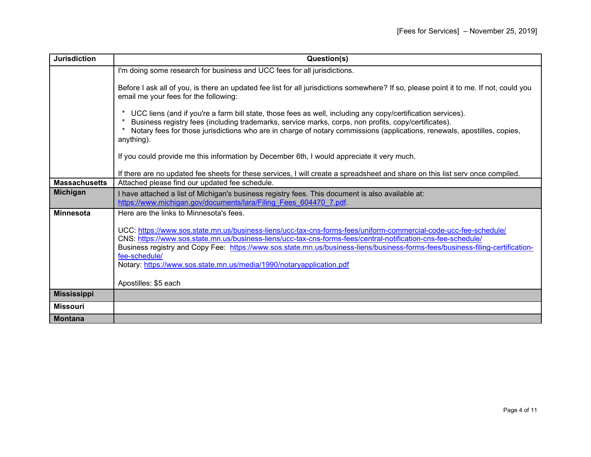| <b>Jurisdiction</b>  | Question(s)                                                                                                                                                                                                                                                                                                                                                                                                                                                 |
|----------------------|-------------------------------------------------------------------------------------------------------------------------------------------------------------------------------------------------------------------------------------------------------------------------------------------------------------------------------------------------------------------------------------------------------------------------------------------------------------|
|                      | I'm doing some research for business and UCC fees for all jurisdictions.                                                                                                                                                                                                                                                                                                                                                                                    |
|                      | Before I ask all of you, is there an updated fee list for all jurisdictions somewhere? If so, please point it to me. If not, could you<br>email me your fees for the following:                                                                                                                                                                                                                                                                             |
|                      | UCC liens (and if you're a farm bill state, those fees as well, including any copy/certification services).<br>Business registry fees (including trademarks, service marks, corps, non profits, copy/certificates).<br>Notary fees for those jurisdictions who are in charge of notary commissions (applications, renewals, apostilles, copies,<br>anything).                                                                                               |
|                      | If you could provide me this information by December 6th, I would appreciate it very much.                                                                                                                                                                                                                                                                                                                                                                  |
|                      | If there are no updated fee sheets for these services, I will create a spreadsheet and share on this list serv once compiled.                                                                                                                                                                                                                                                                                                                               |
| <b>Massachusetts</b> | Attached please find our updated fee schedule.                                                                                                                                                                                                                                                                                                                                                                                                              |
| <b>Michigan</b>      | I have attached a list of Michigan's business registry fees. This document is also available at:<br>https://www.michigan.gov/documents/lara/Filing Fees 604470 7.pdf.                                                                                                                                                                                                                                                                                       |
| <b>Minnesota</b>     | Here are the links to Minnesota's fees.                                                                                                                                                                                                                                                                                                                                                                                                                     |
|                      | UCC: https://www.sos.state.mn.us/business-liens/ucc-tax-cns-forms-fees/uniform-commercial-code-ucc-fee-schedule/<br>CNS: https://www.sos.state.mn.us/business-liens/ucc-tax-cns-forms-fees/central-notification-cns-fee-schedule/<br>Business registry and Copy Fee: https://www.sos.state.mn.us/business-liens/business-forms-fees/business-filing-certification-<br>fee-schedule/<br>Notary: https://www.sos.state.mn.us/media/1990/notaryapplication.pdf |
|                      | Apostilles: \$5 each                                                                                                                                                                                                                                                                                                                                                                                                                                        |
| <b>Mississippi</b>   |                                                                                                                                                                                                                                                                                                                                                                                                                                                             |
| <b>Missouri</b>      |                                                                                                                                                                                                                                                                                                                                                                                                                                                             |
| <b>Montana</b>       |                                                                                                                                                                                                                                                                                                                                                                                                                                                             |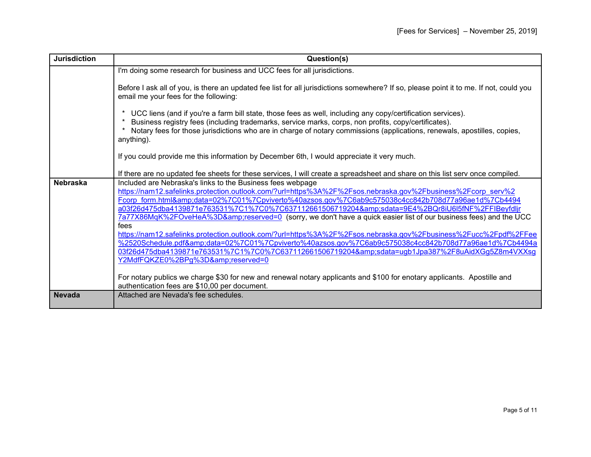| <b>Jurisdiction</b> | Question(s)                                                                                                                                                                                                                                                                                                                                                                                                                                                                                                                                                                                                                                                                                                                                                                                                                                                                                                                                                                                                                                  |
|---------------------|----------------------------------------------------------------------------------------------------------------------------------------------------------------------------------------------------------------------------------------------------------------------------------------------------------------------------------------------------------------------------------------------------------------------------------------------------------------------------------------------------------------------------------------------------------------------------------------------------------------------------------------------------------------------------------------------------------------------------------------------------------------------------------------------------------------------------------------------------------------------------------------------------------------------------------------------------------------------------------------------------------------------------------------------|
|                     | I'm doing some research for business and UCC fees for all jurisdictions.                                                                                                                                                                                                                                                                                                                                                                                                                                                                                                                                                                                                                                                                                                                                                                                                                                                                                                                                                                     |
|                     | Before I ask all of you, is there an updated fee list for all jurisdictions somewhere? If so, please point it to me. If not, could you<br>email me your fees for the following:                                                                                                                                                                                                                                                                                                                                                                                                                                                                                                                                                                                                                                                                                                                                                                                                                                                              |
|                     | UCC liens (and if you're a farm bill state, those fees as well, including any copy/certification services).<br>Business registry fees (including trademarks, service marks, corps, non profits, copy/certificates).<br>Notary fees for those jurisdictions who are in charge of notary commissions (applications, renewals, apostilles, copies,<br>anything).                                                                                                                                                                                                                                                                                                                                                                                                                                                                                                                                                                                                                                                                                |
|                     | If you could provide me this information by December 6th, I would appreciate it very much.                                                                                                                                                                                                                                                                                                                                                                                                                                                                                                                                                                                                                                                                                                                                                                                                                                                                                                                                                   |
|                     | If there are no updated fee sheets for these services, I will create a spreadsheet and share on this list serv once compiled.                                                                                                                                                                                                                                                                                                                                                                                                                                                                                                                                                                                                                                                                                                                                                                                                                                                                                                                |
| <b>Nebraska</b>     | Included are Nebraska's links to the Business fees webpage<br>https://nam12.safelinks.protection.outlook.com/?url=https%3A%2F%2Fsos.nebraska.gov%2Fbusiness%2Fcorp_serv%2<br>Fcorp form.html&data=02%7C01%7Cpviverto%40azsos.gov%7C6ab9c575038c4cc842b708d77a96ae1d%7Cb4494<br>a03f26d475dba4139871e763531%7C1%7C0%7C637112661506719204&sdata=9E4%2BQr8iU6l5fNF%2FFIBeyfdljr<br>7a77X86MgK%2FOveHeA%3D&reserved=0 (sorry, we don't have a quick easier list of our business fees) and the UCC<br>fees<br>https://nam12.safelinks.protection.outlook.com/?url=https%3A%2F%2Fsos.nebraska.gov%2Fbusiness%2Fucc%2Fpdf%2FFee<br>%2520Schedule.pdf&data=02%7C01%7Cpviverto%40azsos.gov%7C6ab9c575038c4cc842b708d77a96ae1d%7Cb4494a<br>03f26d475dba4139871e763531%7C1%7C0%7C637112661506719204&sdata=ugb1Jpa387%2F8uAidXGg5Z8m4VXXsg<br>Y2MdfFQKZE0%2BPg%3D&reserved=0<br>For notary publics we charge \$30 for new and renewal notary applicants and \$100 for enotary applicants. Apostille and<br>authentication fees are \$10,00 per document. |
| <b>Nevada</b>       | Attached are Nevada's fee schedules.                                                                                                                                                                                                                                                                                                                                                                                                                                                                                                                                                                                                                                                                                                                                                                                                                                                                                                                                                                                                         |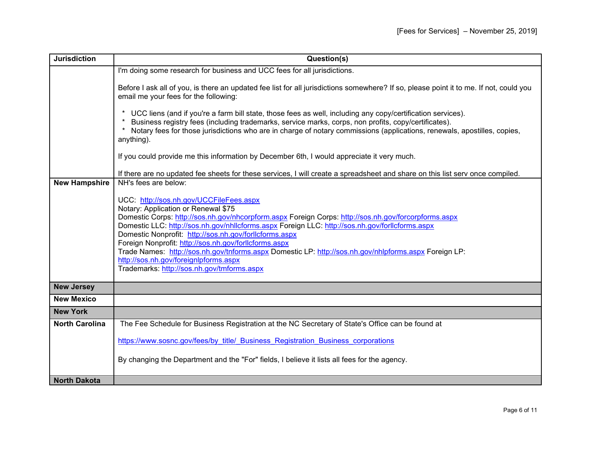| <b>Jurisdiction</b>   | Question(s)                                                                                                                                                                                                                                                                                                                                                                                                                                                                                                                                                                                                  |
|-----------------------|--------------------------------------------------------------------------------------------------------------------------------------------------------------------------------------------------------------------------------------------------------------------------------------------------------------------------------------------------------------------------------------------------------------------------------------------------------------------------------------------------------------------------------------------------------------------------------------------------------------|
|                       | I'm doing some research for business and UCC fees for all jurisdictions.                                                                                                                                                                                                                                                                                                                                                                                                                                                                                                                                     |
|                       | Before I ask all of you, is there an updated fee list for all jurisdictions somewhere? If so, please point it to me. If not, could you<br>email me your fees for the following:                                                                                                                                                                                                                                                                                                                                                                                                                              |
|                       | UCC liens (and if you're a farm bill state, those fees as well, including any copy/certification services).<br>Business registry fees (including trademarks, service marks, corps, non profits, copy/certificates).<br>* Notary fees for those jurisdictions who are in charge of notary commissions (applications, renewals, apostilles, copies,<br>anything).                                                                                                                                                                                                                                              |
|                       | If you could provide me this information by December 6th, I would appreciate it very much.                                                                                                                                                                                                                                                                                                                                                                                                                                                                                                                   |
|                       | If there are no updated fee sheets for these services, I will create a spreadsheet and share on this list serv once compiled.                                                                                                                                                                                                                                                                                                                                                                                                                                                                                |
| <b>New Hampshire</b>  | NH's fees are below:                                                                                                                                                                                                                                                                                                                                                                                                                                                                                                                                                                                         |
|                       | UCC: http://sos.nh.gov/UCCFileFees.aspx<br>Notary: Application or Renewal \$75<br>Domestic Corps: http://sos.nh.gov/nhcorpform.aspx Foreign Corps: http://sos.nh.gov/forcorpforms.aspx<br>Domestic LLC: http://sos.nh.gov/nhllcforms.aspx Foreign LLC: http://sos.nh.gov/forllcforms.aspx<br>Domestic Nonprofit: http://sos.nh.gov/forllcforms.aspx<br>Foreign Nonprofit: http://sos.nh.gov/forllcforms.aspx<br>Trade Names: http://sos.nh.gov/tnforms.aspx Domestic LP: http://sos.nh.gov/nhlpforms.aspx Foreign LP:<br>http://sos.nh.gov/foreignlpforms.aspx<br>Trademarks: http://sos.nh.gov/tmforms.aspx |
| <b>New Jersey</b>     |                                                                                                                                                                                                                                                                                                                                                                                                                                                                                                                                                                                                              |
| <b>New Mexico</b>     |                                                                                                                                                                                                                                                                                                                                                                                                                                                                                                                                                                                                              |
| <b>New York</b>       |                                                                                                                                                                                                                                                                                                                                                                                                                                                                                                                                                                                                              |
| <b>North Carolina</b> | The Fee Schedule for Business Registration at the NC Secretary of State's Office can be found at                                                                                                                                                                                                                                                                                                                                                                                                                                                                                                             |
|                       | https://www.sosnc.gov/fees/by title/ Business Registration Business corporations                                                                                                                                                                                                                                                                                                                                                                                                                                                                                                                             |
|                       | By changing the Department and the "For" fields, I believe it lists all fees for the agency.                                                                                                                                                                                                                                                                                                                                                                                                                                                                                                                 |
| <b>North Dakota</b>   |                                                                                                                                                                                                                                                                                                                                                                                                                                                                                                                                                                                                              |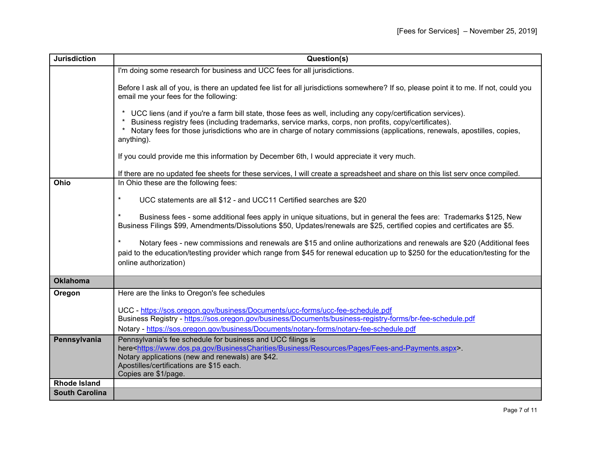| <b>Jurisdiction</b>   | Question(s)                                                                                                                                                                                                                                                                                                                                                   |
|-----------------------|---------------------------------------------------------------------------------------------------------------------------------------------------------------------------------------------------------------------------------------------------------------------------------------------------------------------------------------------------------------|
|                       | I'm doing some research for business and UCC fees for all jurisdictions.                                                                                                                                                                                                                                                                                      |
|                       | Before I ask all of you, is there an updated fee list for all jurisdictions somewhere? If so, please point it to me. If not, could you<br>email me your fees for the following:                                                                                                                                                                               |
|                       | UCC liens (and if you're a farm bill state, those fees as well, including any copy/certification services).<br>Business registry fees (including trademarks, service marks, corps, non profits, copy/certificates).<br>Notary fees for those jurisdictions who are in charge of notary commissions (applications, renewals, apostilles, copies,<br>anything). |
|                       | If you could provide me this information by December 6th, I would appreciate it very much.                                                                                                                                                                                                                                                                    |
|                       | If there are no updated fee sheets for these services, I will create a spreadsheet and share on this list serv once compiled.                                                                                                                                                                                                                                 |
| Ohio                  | In Ohio these are the following fees:                                                                                                                                                                                                                                                                                                                         |
|                       | $\ast$<br>UCC statements are all \$12 - and UCC11 Certified searches are \$20                                                                                                                                                                                                                                                                                 |
|                       |                                                                                                                                                                                                                                                                                                                                                               |
|                       | Business fees - some additional fees apply in unique situations, but in general the fees are: Trademarks \$125, New<br>Business Filings \$99, Amendments/Dissolutions \$50, Updates/renewals are \$25, certified copies and certificates are \$5.                                                                                                             |
|                       |                                                                                                                                                                                                                                                                                                                                                               |
|                       | $\ast$<br>Notary fees - new commissions and renewals are \$15 and online authorizations and renewals are \$20 (Additional fees<br>paid to the education/testing provider which range from \$45 for renewal education up to \$250 for the education/testing for the                                                                                            |
|                       | online authorization)                                                                                                                                                                                                                                                                                                                                         |
| <b>Oklahoma</b>       |                                                                                                                                                                                                                                                                                                                                                               |
| Oregon                | Here are the links to Oregon's fee schedules                                                                                                                                                                                                                                                                                                                  |
|                       | UCC - https://sos.oregon.gov/business/Documents/ucc-forms/ucc-fee-schedule.pdf                                                                                                                                                                                                                                                                                |
|                       | Business Registry - https://sos.oregon.gov/business/Documents/business-registry-forms/br-fee-schedule.pdf                                                                                                                                                                                                                                                     |
|                       | Notary - https://sos.oregon.gov/business/Documents/notary-forms/notary-fee-schedule.pdf                                                                                                                                                                                                                                                                       |
| Pennsylvania          | Pennsylvania's fee schedule for business and UCC filings is                                                                                                                                                                                                                                                                                                   |
|                       | here <https: business="" businesscharities="" fees-and-payments.aspx="" pages="" resources="" www.dos.pa.gov="">.<br/>Notary applications (new and renewals) are \$42.</https:>                                                                                                                                                                               |
|                       | Apostilles/certifications are \$15 each.                                                                                                                                                                                                                                                                                                                      |
|                       | Copies are \$1/page.                                                                                                                                                                                                                                                                                                                                          |
| <b>Rhode Island</b>   |                                                                                                                                                                                                                                                                                                                                                               |
| <b>South Carolina</b> |                                                                                                                                                                                                                                                                                                                                                               |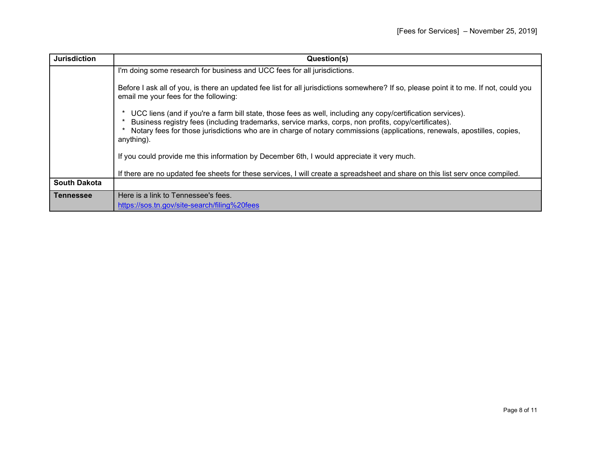| <b>Jurisdiction</b> | Question(s)                                                                                                                                                                                                                                                                                                                                                   |
|---------------------|---------------------------------------------------------------------------------------------------------------------------------------------------------------------------------------------------------------------------------------------------------------------------------------------------------------------------------------------------------------|
|                     | I'm doing some research for business and UCC fees for all jurisdictions.                                                                                                                                                                                                                                                                                      |
|                     | Before I ask all of you, is there an updated fee list for all jurisdictions somewhere? If so, please point it to me. If not, could you<br>email me your fees for the following:                                                                                                                                                                               |
|                     | UCC liens (and if you're a farm bill state, those fees as well, including any copy/certification services).<br>Business registry fees (including trademarks, service marks, corps, non profits, copy/certificates).<br>Notary fees for those jurisdictions who are in charge of notary commissions (applications, renewals, apostilles, copies,<br>anything). |
|                     | If you could provide me this information by December 6th, I would appreciate it very much.                                                                                                                                                                                                                                                                    |
|                     | If there are no updated fee sheets for these services, I will create a spreadsheet and share on this list serv once compiled.                                                                                                                                                                                                                                 |
| <b>South Dakota</b> |                                                                                                                                                                                                                                                                                                                                                               |
| <b>Tennessee</b>    | Here is a link to Tennessee's fees.                                                                                                                                                                                                                                                                                                                           |
|                     | https://sos.tn.gov/site-search/filing%20fees                                                                                                                                                                                                                                                                                                                  |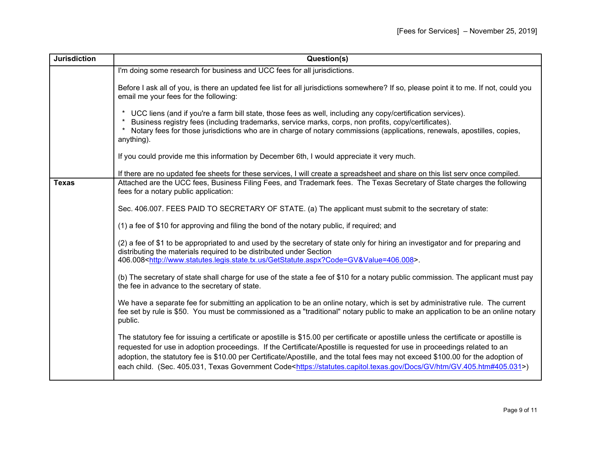| <b>Jurisdiction</b> | Question(s)                                                                                                                                                                                                                                                                                                                                                                                                                                                                                                                                              |
|---------------------|----------------------------------------------------------------------------------------------------------------------------------------------------------------------------------------------------------------------------------------------------------------------------------------------------------------------------------------------------------------------------------------------------------------------------------------------------------------------------------------------------------------------------------------------------------|
|                     | I'm doing some research for business and UCC fees for all jurisdictions.                                                                                                                                                                                                                                                                                                                                                                                                                                                                                 |
|                     | Before I ask all of you, is there an updated fee list for all jurisdictions somewhere? If so, please point it to me. If not, could you<br>email me your fees for the following:                                                                                                                                                                                                                                                                                                                                                                          |
|                     | UCC liens (and if you're a farm bill state, those fees as well, including any copy/certification services).<br>Business registry fees (including trademarks, service marks, corps, non profits, copy/certificates).<br>* Notary fees for those jurisdictions who are in charge of notary commissions (applications, renewals, apostilles, copies,<br>anything).                                                                                                                                                                                          |
|                     | If you could provide me this information by December 6th, I would appreciate it very much.                                                                                                                                                                                                                                                                                                                                                                                                                                                               |
|                     | If there are no updated fee sheets for these services, I will create a spreadsheet and share on this list serv once compiled.                                                                                                                                                                                                                                                                                                                                                                                                                            |
| <b>Texas</b>        | Attached are the UCC fees, Business Filing Fees, and Trademark fees. The Texas Secretary of State charges the following<br>fees for a notary public application:                                                                                                                                                                                                                                                                                                                                                                                         |
|                     | Sec. 406.007. FEES PAID TO SECRETARY OF STATE. (a) The applicant must submit to the secretary of state:                                                                                                                                                                                                                                                                                                                                                                                                                                                  |
|                     | (1) a fee of \$10 for approving and filing the bond of the notary public, if required; and                                                                                                                                                                                                                                                                                                                                                                                                                                                               |
|                     | (2) a fee of \$1 to be appropriated to and used by the secretary of state only for hiring an investigator and for preparing and<br>distributing the materials required to be distributed under Section<br>406.008 <http: getstatute.aspx?code="GV&amp;Value=406.008" www.statutes.legis.state.tx.us="">.</http:>                                                                                                                                                                                                                                         |
|                     | (b) The secretary of state shall charge for use of the state a fee of \$10 for a notary public commission. The applicant must pay<br>the fee in advance to the secretary of state.                                                                                                                                                                                                                                                                                                                                                                       |
|                     | We have a separate fee for submitting an application to be an online notary, which is set by administrative rule. The current<br>fee set by rule is \$50. You must be commissioned as a "traditional" notary public to make an application to be an online notary<br>public.                                                                                                                                                                                                                                                                             |
|                     | The statutory fee for issuing a certificate or apostille is \$15.00 per certificate or apostille unless the certificate or apostille is<br>requested for use in adoption proceedings. If the Certificate/Apostille is requested for use in proceedings related to an<br>adoption, the statutory fee is \$10.00 per Certificate/Apostille, and the total fees may not exceed \$100.00 for the adoption of<br>each child. (Sec. 405.031, Texas Government Code <https: docs="" gv="" gv.405.htm#405.031="" htm="" statutes.capitol.texas.gov="">)</https:> |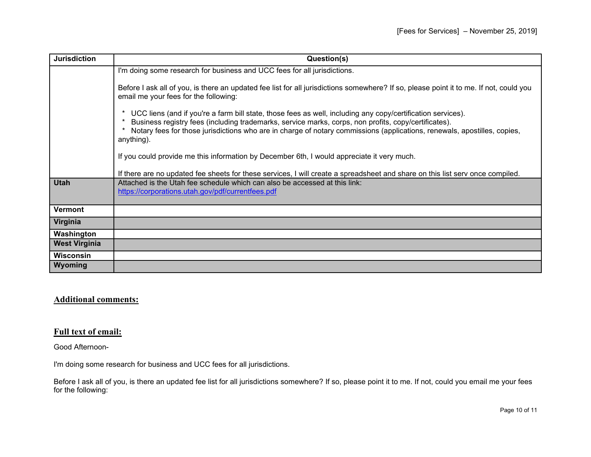| <b>Jurisdiction</b>  | Question(s)                                                                                                                                                                                                                                                                                                                                                   |
|----------------------|---------------------------------------------------------------------------------------------------------------------------------------------------------------------------------------------------------------------------------------------------------------------------------------------------------------------------------------------------------------|
|                      | I'm doing some research for business and UCC fees for all jurisdictions.                                                                                                                                                                                                                                                                                      |
|                      | Before I ask all of you, is there an updated fee list for all jurisdictions somewhere? If so, please point it to me. If not, could you<br>email me your fees for the following:                                                                                                                                                                               |
|                      | UCC liens (and if you're a farm bill state, those fees as well, including any copy/certification services).<br>Business registry fees (including trademarks, service marks, corps, non profits, copy/certificates).<br>Notary fees for those jurisdictions who are in charge of notary commissions (applications, renewals, apostilles, copies,<br>anything). |
|                      | If you could provide me this information by December 6th, I would appreciate it very much.                                                                                                                                                                                                                                                                    |
|                      | If there are no updated fee sheets for these services, I will create a spreadsheet and share on this list serv once compiled.                                                                                                                                                                                                                                 |
| <b>Utah</b>          | Attached is the Utah fee schedule which can also be accessed at this link:                                                                                                                                                                                                                                                                                    |
|                      | https://corporations.utah.gov/pdf/currentfees.pdf                                                                                                                                                                                                                                                                                                             |
| <b>Vermont</b>       |                                                                                                                                                                                                                                                                                                                                                               |
| Virginia             |                                                                                                                                                                                                                                                                                                                                                               |
| Washington           |                                                                                                                                                                                                                                                                                                                                                               |
| <b>West Virginia</b> |                                                                                                                                                                                                                                                                                                                                                               |
| <b>Wisconsin</b>     |                                                                                                                                                                                                                                                                                                                                                               |
| Wyoming              |                                                                                                                                                                                                                                                                                                                                                               |

## **Additional comments:**

## **Full text of email:**

Good Afternoon-

I'm doing some research for business and UCC fees for all jurisdictions.

Before I ask all of you, is there an updated fee list for all jurisdictions somewhere? If so, please point it to me. If not, could you email me your fees for the following: